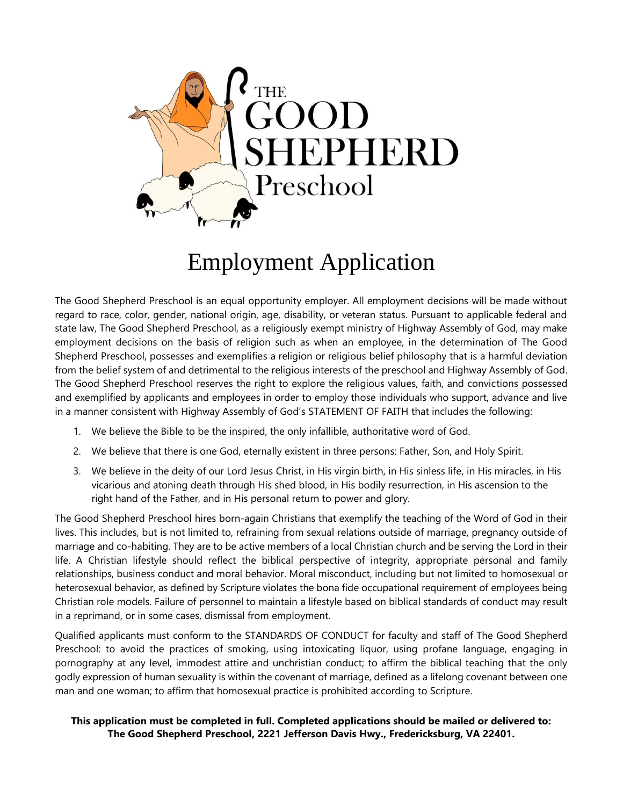

# Employment Application

The Good Shepherd Preschool is an equal opportunity employer. All employment decisions will be made without regard to race, color, gender, national origin, age, disability, or veteran status. Pursuant to applicable federal and state law, The Good Shepherd Preschool, as a religiously exempt ministry of Highway Assembly of God, may make employment decisions on the basis of religion such as when an employee, in the determination of The Good Shepherd Preschool, possesses and exemplifies a religion or religious belief philosophy that is a harmful deviation from the belief system of and detrimental to the religious interests of the preschool and Highway Assembly of God. The Good Shepherd Preschool reserves the right to explore the religious values, faith, and convictions possessed and exemplified by applicants and employees in order to employ those individuals who support, advance and live in a manner consistent with Highway Assembly of God's STATEMENT OF FAITH that includes the following:

- 1. We believe the Bible to be the inspired, the only infallible, authoritative word of God.
- 2. We believe that there is one God, eternally existent in three persons: Father, Son, and Holy Spirit.
- 3. We believe in the deity of our Lord Jesus Christ, in His virgin birth, in His sinless life, in His miracles, in His vicarious and atoning death through His shed blood, in His bodily resurrection, in His ascension to the right hand of the Father, and in His personal return to power and glory.

The Good Shepherd Preschool hires born-again Christians that exemplify the teaching of the Word of God in their lives. This includes, but is not limited to, refraining from sexual relations outside of marriage, pregnancy outside of marriage and co-habiting. They are to be active members of a local Christian church and be serving the Lord in their life. A Christian lifestyle should reflect the biblical perspective of integrity, appropriate personal and family relationships, business conduct and moral behavior. Moral misconduct, including but not limited to homosexual or heterosexual behavior, as defined by Scripture violates the bona fide occupational requirement of employees being Christian role models. Failure of personnel to maintain a lifestyle based on biblical standards of conduct may result in a reprimand, or in some cases, dismissal from employment.

Qualified applicants must conform to the STANDARDS OF CONDUCT for faculty and staff of The Good Shepherd Preschool: to avoid the practices of smoking, using intoxicating liquor, using profane language, engaging in pornography at any level, immodest attire and unchristian conduct; to affirm the biblical teaching that the only godly expression of human sexuality is within the covenant of marriage, defined as a lifelong covenant between one man and one woman; to affirm that homosexual practice is prohibited according to Scripture.

#### **This application must be completed in full. Completed applications should be mailed or delivered to: The Good Shepherd Preschool, 2221 Jefferson Davis Hwy., Fredericksburg, VA 22401.**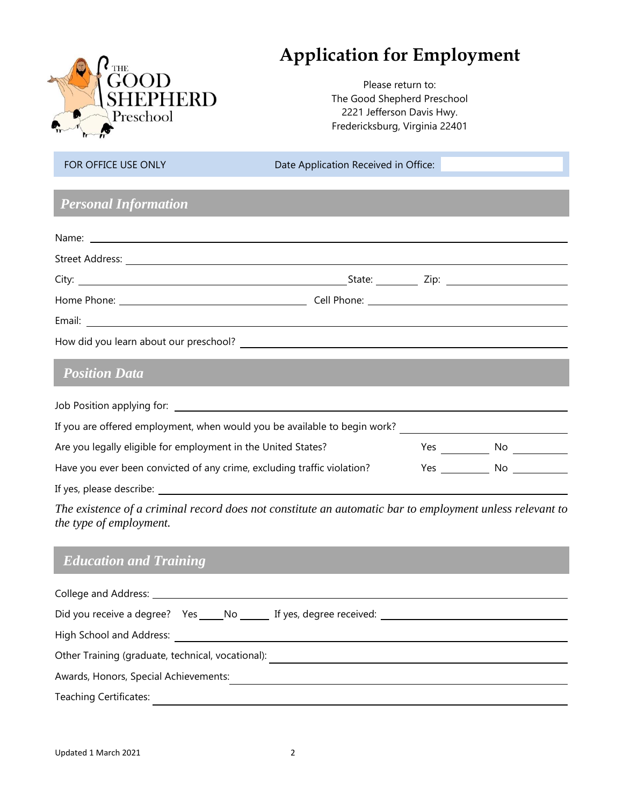

## **Application for Employment**

Please return to: The Good Shepherd Preschool 2221 Jefferson Davis Hwy. Fredericksburg, Virginia 22401

FOR OFFICE USE ONLY Date Application Received in Office:

### *Personal Information*

| <b>Position Data</b>                                                                                                                                                                                                               |  |  |
|------------------------------------------------------------------------------------------------------------------------------------------------------------------------------------------------------------------------------------|--|--|
| Job Position applying for: <b>All and Security Control</b> and Security Control and Security Control and Security Control and Security Control and Security Control and Security Control and Security Control and Security Control |  |  |
| If you are offered employment, when would you be available to begin work?                                                                                                                                                          |  |  |

| Are you legally eligible for employment in the United States?           | Yes  | No  |  |
|-------------------------------------------------------------------------|------|-----|--|
| Have you ever been convicted of any crime, excluding traffic violation? | Yes. | No. |  |
| If yes, please describe:                                                |      |     |  |

*The existence of a criminal record does not constitute an automatic bar to employment unless relevant to the type of employment.* 

## *Education and Training*

| Did you receive a degree? Yes _____ No _______ If yes, degree received: _________ |  |  |  |  |  |
|-----------------------------------------------------------------------------------|--|--|--|--|--|
| High School and Address:                                                          |  |  |  |  |  |
| Other Training (graduate, technical, vocational):                                 |  |  |  |  |  |
| Awards, Honors, Special Achievements:                                             |  |  |  |  |  |
| <b>Teaching Certificates:</b>                                                     |  |  |  |  |  |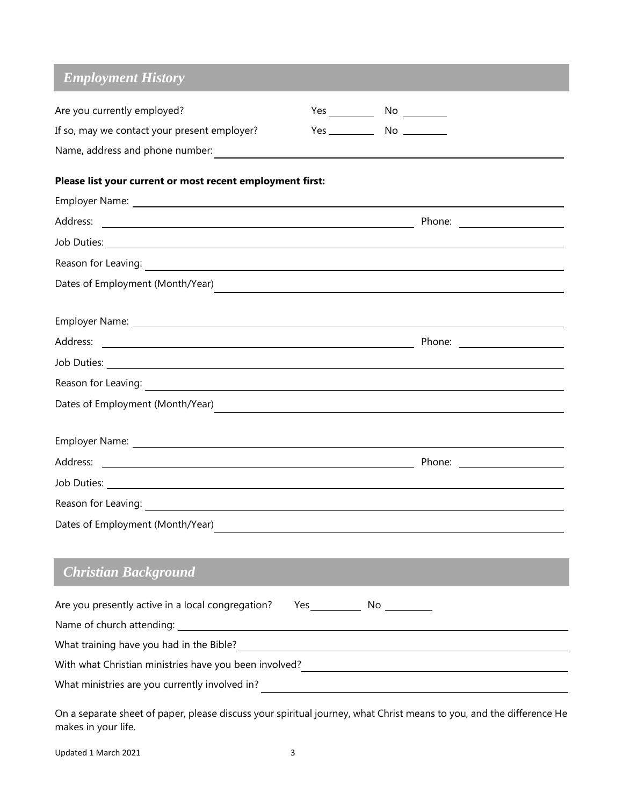## *Employment History*

| Are you currently employed?                                                                                                                                         |  |                                                                                                                      |
|---------------------------------------------------------------------------------------------------------------------------------------------------------------------|--|----------------------------------------------------------------------------------------------------------------------|
| If so, may we contact your present employer?                                                                                                                        |  |                                                                                                                      |
| Name, address and phone number:<br>and the number:<br>and the number of the set of the set of the set of the set of the set of the set of the set of the set of the |  |                                                                                                                      |
| Please list your current or most recent employment first:                                                                                                           |  |                                                                                                                      |
|                                                                                                                                                                     |  |                                                                                                                      |
|                                                                                                                                                                     |  | Phone: _______________________                                                                                       |
|                                                                                                                                                                     |  |                                                                                                                      |
|                                                                                                                                                                     |  |                                                                                                                      |
| Dates of Employment (Month/Year)                                                                                                                                    |  | <u> 1989 - Andrea Santa Andrea Andrea Santa Andrea Andrea Andrea Andrea Andrea Andrea Andrea Andrea Andrea Andre</u> |
|                                                                                                                                                                     |  |                                                                                                                      |
|                                                                                                                                                                     |  |                                                                                                                      |
|                                                                                                                                                                     |  |                                                                                                                      |
|                                                                                                                                                                     |  |                                                                                                                      |
|                                                                                                                                                                     |  |                                                                                                                      |
|                                                                                                                                                                     |  |                                                                                                                      |
|                                                                                                                                                                     |  |                                                                                                                      |
|                                                                                                                                                                     |  |                                                                                                                      |
|                                                                                                                                                                     |  |                                                                                                                      |
|                                                                                                                                                                     |  |                                                                                                                      |
| <b>Christian Background</b>                                                                                                                                         |  |                                                                                                                      |
| Are you presently active in a local congregation?  Yes ______________ No _________                                                                                  |  |                                                                                                                      |
|                                                                                                                                                                     |  |                                                                                                                      |
|                                                                                                                                                                     |  |                                                                                                                      |
|                                                                                                                                                                     |  |                                                                                                                      |
|                                                                                                                                                                     |  |                                                                                                                      |
|                                                                                                                                                                     |  |                                                                                                                      |

On a separate sheet of paper, please discuss your spiritual journey, what Christ means to you, and the difference He makes in your life.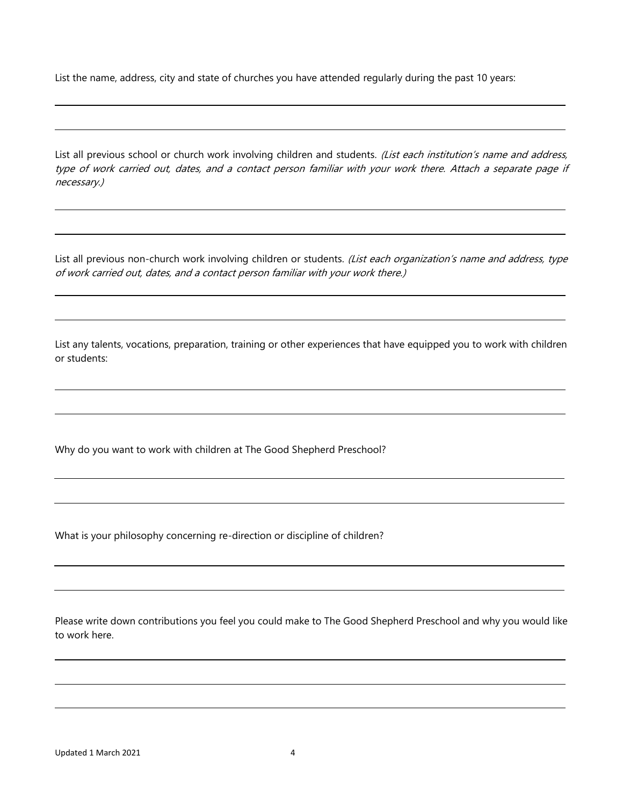List the name, address, city and state of churches you have attended regularly during the past 10 years:

List all previous school or church work involving children and students. (List each institution's name and address, type of work carried out, dates, and a contact person familiar with your work there. Attach a separate page if necessary.)

List all previous non-church work involving children or students. (List each organization's name and address, type of work carried out, dates, and a contact person familiar with your work there.)

List any talents, vocations, preparation, training or other experiences that have equipped you to work with children or students:

Why do you want to work with children at The Good Shepherd Preschool?

What is your philosophy concerning re-direction or discipline of children?

Please write down contributions you feel you could make to The Good Shepherd Preschool and why you would like to work here.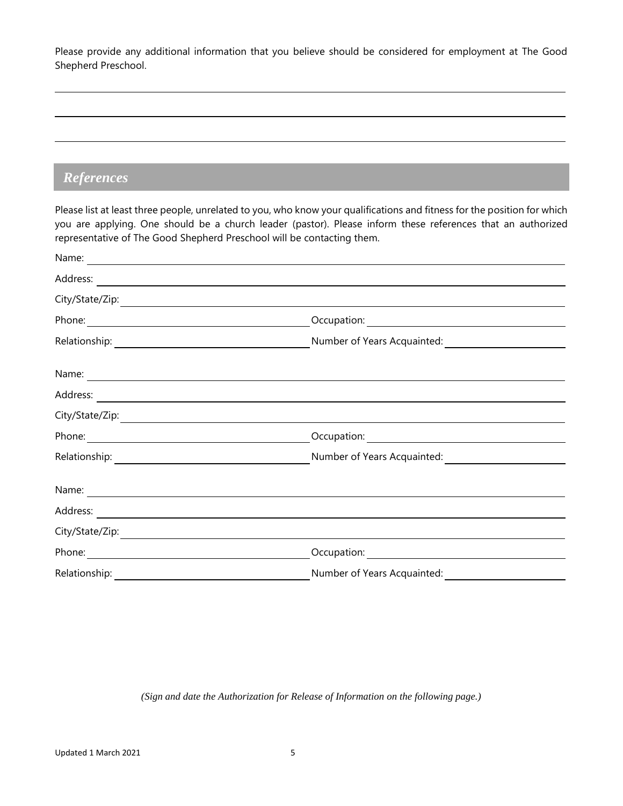Please provide any additional information that you believe should be considered for employment at The Good Shepherd Preschool.

#### *References*

Please list at least three people, unrelated to you, who know your qualifications and fitness for the position for which you are applying. One should be a church leader (pastor). Please inform these references that an authorized representative of The Good Shepherd Preschool will be contacting them.

| Relationship: | Number of Years Acquainted: |
|---------------|-----------------------------|

*(Sign and date the Authorization for Release of Information on the following page.)*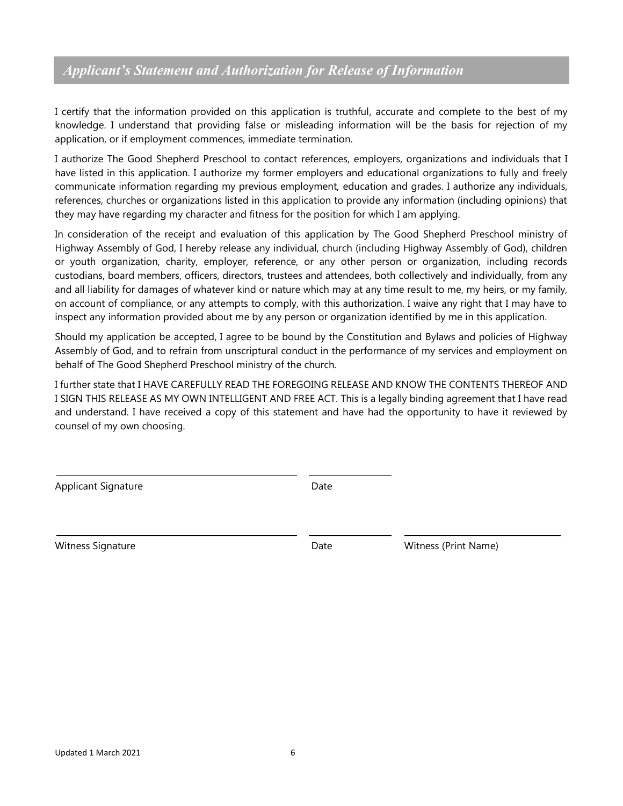#### *Applicant's Statement and Authorization for Release of Information*

I certify that the information provided on this application is truthful, accurate and complete to the best of my knowledge. I understand that providing false or misleading information will be the basis for rejection of my application, or if employment commences, immediate termination.

I authorize The Good Shepherd Preschool to contact references, employers, organizations and individuals that I have listed in this application. I authorize my former employers and educational organizations to fully and freely communicate information regarding my previous employment, education and grades. I authorize any individuals, references, churches or organizations listed in this application to provide any information (including opinions) that they may have regarding my character and fitness for the position for which I am applying.

In consideration of the receipt and evaluation of this application by The Good Shepherd Preschool ministry of Highway Assembly of God, I hereby release any individual, church (including Highway Assembly of God), children or youth organization, charity, employer, reference, or any other person or organization, including records custodians, board members, officers, directors, trustees and attendees, both collectively and individually, from any and all liability for damages of whatever kind or nature which may at any time result to me, my heirs, or my family, on account of compliance, or any attempts to comply, with this authorization. I waive any right that I may have to inspect any information provided about me by any person or organization identified by me in this application.

Should my application be accepted, I agree to be bound by the Constitution and Bylaws and policies of Highway Assembly of God, and to refrain from unscriptural conduct in the performance of my services and employment on behalf of The Good Shepherd Preschool ministry of the church.

I further state that I HAVE CAREFULLY READ THE FOREGOING RELEASE AND KNOW THE CONTENTS THEREOF AND I SIGN THIS RELEASE AS MY OWN INTELLIGENT AND FREE ACT. This is a legally binding agreement that I have read and understand. I have received a copy of this statement and have had the opportunity to have it reviewed by counsel of my own choosing.

Applicant Signature Date

Witness Signature Date Witness (Print Name)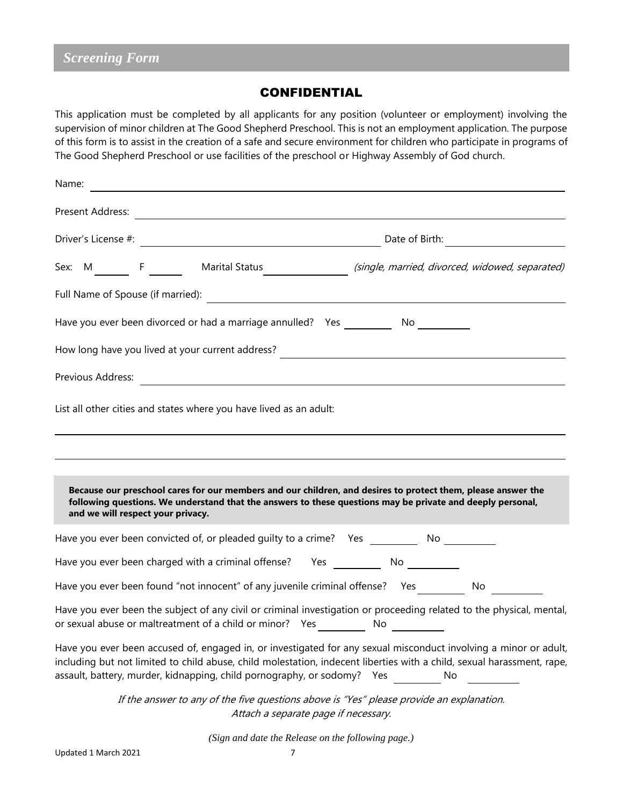#### CONFIDENTIAL

This application must be completed by all applicants for any position (volunteer or employment) involving the supervision of minor children at The Good Shepherd Preschool. This is not an employment application. The purpose of this form is to assist in the creation of a safe and secure environment for children who participate in programs of The Good Shepherd Preschool or use facilities of the preschool or Highway Assembly of God church.

| Name: |                   |                                   |                                                                                                                                                                                                                                                                                                                           |    |    |  |
|-------|-------------------|-----------------------------------|---------------------------------------------------------------------------------------------------------------------------------------------------------------------------------------------------------------------------------------------------------------------------------------------------------------------------|----|----|--|
|       |                   |                                   |                                                                                                                                                                                                                                                                                                                           |    |    |  |
|       |                   |                                   |                                                                                                                                                                                                                                                                                                                           |    |    |  |
|       |                   |                                   | Sex: M ________ F _________ Marital Status ___________________(single, married, divorced, widowed, separated)                                                                                                                                                                                                             |    |    |  |
|       |                   |                                   |                                                                                                                                                                                                                                                                                                                           |    |    |  |
|       |                   |                                   | Have you ever been divorced or had a marriage annulled? Yes ___________ No __________                                                                                                                                                                                                                                     |    |    |  |
|       |                   |                                   |                                                                                                                                                                                                                                                                                                                           |    |    |  |
|       | Previous Address: |                                   | <u> 1989 - Andrea State Barbara, poeta esperanto-</u>                                                                                                                                                                                                                                                                     |    |    |  |
|       |                   |                                   | List all other cities and states where you have lived as an adult:                                                                                                                                                                                                                                                        |    |    |  |
|       |                   |                                   |                                                                                                                                                                                                                                                                                                                           |    |    |  |
|       |                   |                                   |                                                                                                                                                                                                                                                                                                                           |    |    |  |
|       |                   | and we will respect your privacy. | Because our preschool cares for our members and our children, and desires to protect them, please answer the<br>following questions. We understand that the answers to these questions may be private and deeply personal,                                                                                                |    |    |  |
|       |                   |                                   | Have you ever been convicted of, or pleaded guilty to a crime? Yes _____________ No _______________                                                                                                                                                                                                                       |    |    |  |
|       |                   |                                   | Have you ever been charged with a criminal offense? Yes _________________________                                                                                                                                                                                                                                         |    |    |  |
|       |                   |                                   | Have you ever been found "not innocent" of any juvenile criminal offense? Yes __________ No                                                                                                                                                                                                                               |    |    |  |
|       |                   |                                   | Have you ever been the subject of any civil or criminal investigation or proceeding related to the physical, mental,<br>or sexual abuse or maltreatment of a child or minor?  Yes ______________________                                                                                                                  | No |    |  |
|       |                   |                                   | Have you ever been accused of, engaged in, or investigated for any sexual misconduct involving a minor or adult,<br>including but not limited to child abuse, child molestation, indecent liberties with a child, sexual harassment, rape,<br>assault, battery, murder, kidnapping, child pornography, or sodomy?     Yes |    | No |  |
|       |                   |                                   | If the answer to any of the five questions above is "Yes" please provide an explanation.<br>Attach a separate page if necessary.                                                                                                                                                                                          |    |    |  |

*(Sign and date the Release on the following page.)*